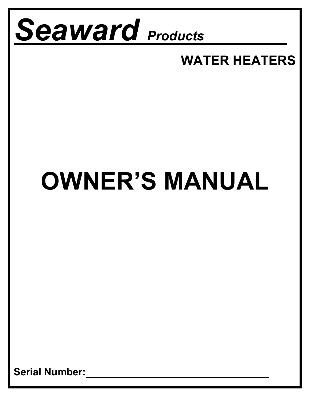

## **WATER HEATERS**

# **OWNER'S MANUAL**

**Serial Number:**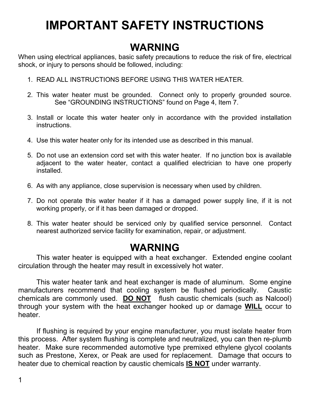## **IMPORTANT SAFETY INSTRUCTIONS**

## **WARNING**

When using electrical appliances, basic safety precautions to reduce the risk of fire, electrical shock, or injury to persons should be followed, including:

- 1. READ ALL INSTRUCTIONS BEFORE USING THIS WATER HEATER.
- 2. This water heater must be grounded. Connect only to properly grounded source. See "GROUNDING INSTRUCTIONS" found on Page 4, Item 7.
- 3. Install or locate this water heater only in accordance with the provided installation instructions.
- 4. Use this water heater only for its intended use as described in this manual.
- 5. Do not use an extension cord set with this water heater. If no junction box is available adjacent to the water heater, contact a qualified electrician to have one properly installed.
- 6. As with any appliance, close supervision is necessary when used by children.
- 7. Do not operate this water heater if it has a damaged power supply line, if it is not working properly, or if it has been damaged or dropped.
- 8. This water heater should be serviced only by qualified service personnel. Contact nearest authorized service facility for examination, repair, or adjustment.

## **WARNING**

 This water heater is equipped with a heat exchanger. Extended engine coolant circulation through the heater may result in excessively hot water.

 This water heater tank and heat exchanger is made of aluminum. Some engine manufacturers recommend that cooling system be flushed periodically. Caustic chemicals are commonly used. **DO NOT** flush caustic chemicals (such as Nalcool) through your system with the heat exchanger hooked up or damage **WILL** occur to heater.

 If flushing is required by your engine manufacturer, you must isolate heater from this process. After system flushing is complete and neutralized, you can then re-plumb heater. Make sure recommended automotive type premixed ethylene glycol coolants such as Prestone, Xerex, or Peak are used for replacement. Damage that occurs to heater due to chemical reaction by caustic chemicals **IS NOT** under warranty.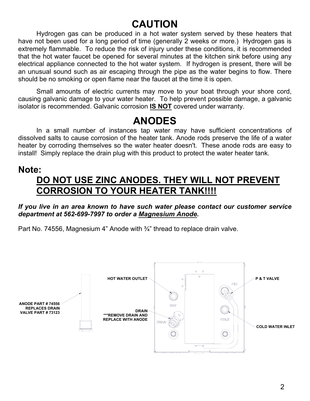## **CAUTION**

Hydrogen gas can be produced in a hot water system served by these heaters that have not been used for a long period of time (generally 2 weeks or more.) Hydrogen gas is extremely flammable. To reduce the risk of injury under these conditions, it is recommended that the hot water faucet be opened for several minutes at the kitchen sink before using any electrical appliance connected to the hot water system. If hydrogen is present, there will be an unusual sound such as air escaping through the pipe as the water begins to flow. There should be no smoking or open flame near the faucet at the time it is open.

 Small amounts of electric currents may move to your boat through your shore cord, causing galvanic damage to your water heater. To help prevent possible damage, a galvanic isolator is recommended. Galvanic corrosion **IS NOT** covered under warranty.

### **ANODES**

In a small number of instances tap water may have sufficient concentrations of dissolved salts to cause corrosion of the heater tank. Anode rods preserve the life of a water heater by corroding themselves so the water heater doesn't. These anode rods are easy to install! Simply replace the drain plug with this product to protect the water heater tank.

#### **Note:**

### **DO NOT USE ZINC ANODES. THEY WILL NOT PREVENT CORROSION TO YOUR HEATER TANK!!!!**

*If you live in an area known to have such water please contact our customer service department at 562-699-7997 to order a Magnesium Anode.*

Part No. 74556, Magnesium 4" Anode with ¾" thread to replace drain valve.

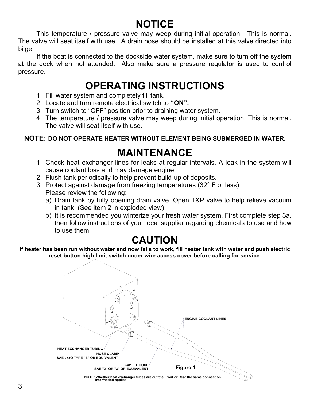## **NOTICE**

This temperature / pressure valve may weep during initial operation. This is normal. The valve will seat itself with use. A drain hose should be installed at this valve directed into bilge.

 If the boat is connected to the dockside water system, make sure to turn off the system at the dock when not attended. Also make sure a pressure regulator is used to control pressure.

## **OPERATING INSTRUCTIONS**

- 1. Fill water system and completely fill tank.
- 2. Locate and turn remote electrical switch to **"ON".**
- 3. Turn switch to "OFF" position prior to draining water system.
- 4. The temperature / pressure valve may weep during initial operation. This is normal. The valve will seat itself with use.

#### **NOTE: DO NOT OPERATE HEATER WITHOUT ELEMENT BEING SUBMERGED IN WATER.**

## **MAINTENANCE**

- 1. Check heat exchanger lines for leaks at regular intervals. A leak in the system will cause coolant loss and may damage engine.
- 2. Flush tank periodically to help prevent build-up of deposits.
- 3. Protect against damage from freezing temperatures (32° F or less) Please review the following:
	- a) Drain tank by fully opening drain valve. Open T&P valve to help relieve vacuum in tank. (See item 2 in exploded view)
	- b) It is recommended you winterize your fresh water system. First complete step 3a, then follow instructions of your local supplier regarding chemicals to use and how to use them.

### **CAUTION**

**If heater has been run without water and now fails to work, fill heater tank with water and push electric reset button high limit switch under wire access cover before calling for service.** 



**NOTE: Whether heat exchanger tubes are out the Front or Rear the same connection information applies.**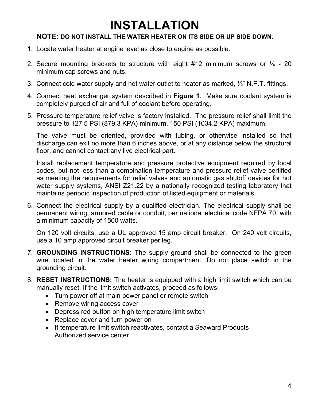## **INSTALLATION**

#### **NOTE: DO NOT INSTALL THE WATER HEATER ON ITS SIDE OR UP SIDE DOWN.**

- 1. Locate water heater at engine level as close to engine as possible.
- 2. Secure mounting brackets to structure with eight #12 minimum screws or  $\frac{1}{4}$  20 minimum cap screws and nuts.
- 3. Connect cold water supply and hot water outlet to heater as marked, ½" N.P.T. fittings.
- 4. Connect heat exchanger system described in **Figure 1**. Make sure coolant system is completely purged of air and full of coolant before operating.
- 5. Pressure temperature relief valve is factory installed. The pressure relief shall limit the pressure to 127.5 PSI (879.3 KPA) minimum, 150 PSI (1034.2 KPA) maximum.

The valve must be oriented, provided with tubing, or otherwise installed so that discharge can exit no more than 6 inches above, or at any distance below the structural floor, and cannot contact any live electrical part.

Install replacement temperature and pressure protective equipment required by local codes, but not less than a combination temperature and pressure relief valve certified as meeting the requirements for relief valves and automatic gas shutoff devices for hot water supply systems, ANSI Z21.22 by a nationally recognized testing laboratory that maintains periodic inspection of production of listed equipment or materials.

6. Connect the electrical supply by a qualified electrician. The electrical supply shall be permanent wiring, armored cable or conduit, per national electrical code NFPA 70, with a minimum capacity of 1500 watts.

On 120 volt circuits, use a UL approved 15 amp circuit breaker. On 240 volt circuits, use a 10 amp approved circuit breaker per leg.

- 7. **GROUNDING INSTRUCTIONS:** The supply ground shall be connected to the green wire located in the water heater wiring compartment. Do not place switch in the grounding circuit.
- 8. **RESET INSTRUCTIONS:** The heater is equipped with a high limit switch which can be manually reset. If the limit switch activates, proceed as follows:
	- Turn power off at main power panel or remote switch
	- Remove wiring access cover
	- Depress red button on high temperature limit switch
	- Replace cover and turn power on
	- If temperature limit switch reactivates, contact a Seaward Products Authorized service center.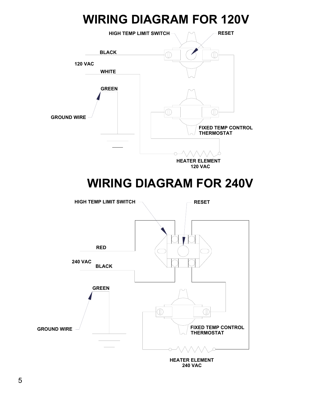## **WIRING DIAGRAM FOR 120V**



**240 VAC**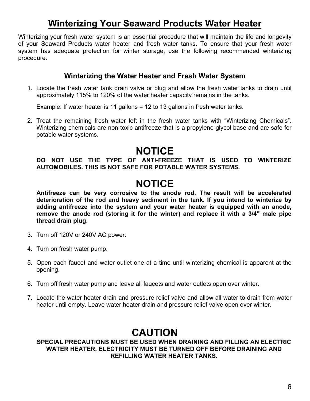### **Winterizing Your Seaward Products Water Heater**

Winterizing your fresh water system is an essential procedure that will maintain the life and longevity of your Seaward Products water heater and fresh water tanks. To ensure that your fresh water system has adequate protection for winter storage, use the following recommended winterizing procedure.

#### **Winterizing the Water Heater and Fresh Water System**

1. Locate the fresh water tank drain valve or plug and allow the fresh water tanks to drain until approximately 115% to 120% of the water heater capacity remains in the tanks.

Example: If water heater is 11 gallons = 12 to 13 gallons in fresh water tanks.

2. Treat the remaining fresh water left in the fresh water tanks with "Winterizing Chemicals". Winterizing chemicals are non-toxic antifreeze that is a propylene-glycol base and are safe for potable water systems.

### **NOTICE**

#### **DO NOT USE THE TYPE OF ANTI-FREEZE THAT IS USED TO WINTERIZE AUTOMOBILES. THIS IS NOT SAFE FOR POTABLE WATER SYSTEMS.**

### **NOTICE**

**Antifreeze can be very corrosive to the anode rod. The result will be accelerated deterioration of the rod and heavy sediment in the tank. If you intend to winterize by adding antifreeze into the system and your water heater is equipped with an anode, remove the anode rod (storing it for the winter) and replace it with a 3/4" male pipe thread drain plug**.

- 3. Turn off 120V or 240V AC power.
- 4. Turn on fresh water pump.
- 5. Open each faucet and water outlet one at a time until winterizing chemical is apparent at the opening.
- 6. Turn off fresh water pump and leave all faucets and water outlets open over winter.
- 7. Locate the water heater drain and pressure relief valve and allow all water to drain from water heater until empty. Leave water heater drain and pressure relief valve open over winter.

### **CAUTION**

#### **SPECIAL PRECAUTIONS MUST BE USED WHEN DRAINING AND FILLING AN ELECTRIC WATER HEATER. ELECTRICITY MUST BE TURNED OFF BEFORE DRAINING AND REFILLING WATER HEATER TANKS.**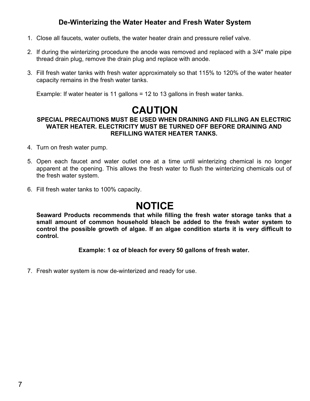#### **De-Winterizing the Water Heater and Fresh Water System**

- 1. Close all faucets, water outlets, the water heater drain and pressure relief valve.
- 2. If during the winterizing procedure the anode was removed and replaced with a 3/4" male pipe thread drain plug, remove the drain plug and replace with anode.
- 3. Fill fresh water tanks with fresh water approximately so that 115% to 120% of the water heater capacity remains in the fresh water tanks.

Example: If water heater is 11 gallons = 12 to 13 gallons in fresh water tanks.

### **CAUTION**

#### **SPECIAL PRECAUTIONS MUST BE USED WHEN DRAINING AND FILLING AN ELECTRIC WATER HEATER. ELECTRICITY MUST BE TURNED OFF BEFORE DRAINING AND REFILLING WATER HEATER TANKS.**

- 4. Turn on fresh water pump.
- 5. Open each faucet and water outlet one at a time until winterizing chemical is no longer apparent at the opening. This allows the fresh water to flush the winterizing chemicals out of the fresh water system.
- 6. Fill fresh water tanks to 100% capacity.

### **NOTICE**

**Seaward Products recommends that while filling the fresh water storage tanks that a small amount of common household bleach be added to the fresh water system to control the possible growth of algae. If an algae condition starts it is very difficult to control.** 

**Example: 1 oz of bleach for every 50 gallons of fresh water.** 

7. Fresh water system is now de-winterized and ready for use.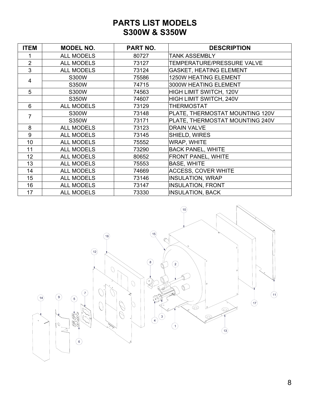#### **PARTS LIST MODELS S300W & S350W**

| <b>ITEM</b>    | <b>MODEL NO.</b>  | PART NO. | <b>DESCRIPTION</b>              |
|----------------|-------------------|----------|---------------------------------|
|                | <b>ALL MODELS</b> | 80727    | <b>TANK ASSEMBLY</b>            |
| $\overline{2}$ | <b>ALL MODELS</b> | 73127    | TEMPERATURE/PRESSURE VALVE      |
| 3              | <b>ALL MODELS</b> | 73124    | <b>GASKET, HEATING ELEMENT</b>  |
| 4              | S300W             | 75586    | <b>1250W HEATING ELEMENT</b>    |
|                | S350W             | 74715    | 3000W HEATING ELEMENT           |
| 5              | S300W             | 74563    | HIGH LIMIT SWITCH, 120V         |
|                | S350W             | 74607    | HIGH LIMIT SWITCH, 240V         |
| 6              | <b>ALL MODELS</b> | 73129    | <b>THERMOSTAT</b>               |
| 7              | S300W             | 73148    | PLATE, THERMOSTAT MOUNTING 120V |
|                | S350W             | 73171    | PLATE, THERMOSTAT MOUNTING 240V |
| 8              | <b>ALL MODELS</b> | 73123    | <b>DRAIN VALVE</b>              |
| 9              | <b>ALL MODELS</b> | 73145    | SHIELD, WIRES                   |
| 10             | <b>ALL MODELS</b> | 75552    | WRAP, WHITE                     |
| 11             | <b>ALL MODELS</b> | 73290    | <b>BACK PANEL, WHITE</b>        |
| 12             | <b>ALL MODELS</b> | 80652    | <b>FRONT PANEL, WHITE</b>       |
| 13             | <b>ALL MODELS</b> | 75553    | <b>BASE, WHITE</b>              |
| 14             | <b>ALL MODELS</b> | 74669    | <b>ACCESS, COVER WHITE</b>      |
| 15             | <b>ALL MODELS</b> | 73146    | <b>INSULATION, WRAP</b>         |
| 16             | <b>ALL MODELS</b> | 73147    | <b>INSULATION, FRONT</b>        |
| 17             | <b>ALL MODELS</b> | 73330    | <b>INSULATION, BACK</b>         |

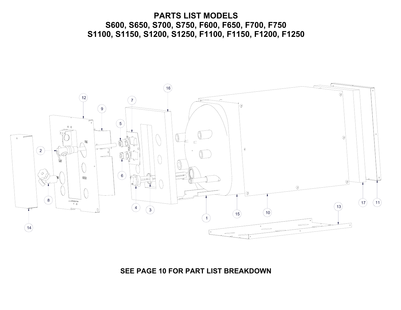#### **PARTS LIST MODELS S600, S650, S700, S750, F600, F650, F700, F750 S1100, S1150, S1200, S1250, F1100, F1150, F1200, F1250**



#### **SEE PAGE 10 FOR PART LIST BREAKDOWN**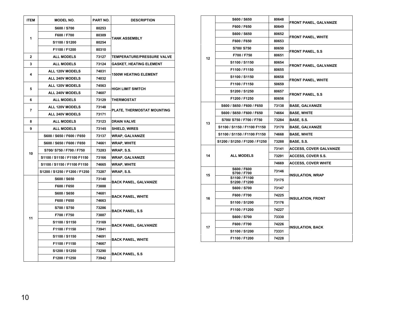| <b>ITEM</b>    | <b>MODEL NO.</b>              | PART NO. | <b>DESCRIPTION</b>             |  |
|----------------|-------------------------------|----------|--------------------------------|--|
|                | S600 / S700                   | 80253    |                                |  |
| 1              | F600 / F700                   | 80309    | <b>TANK ASSEMBLY</b>           |  |
|                | S1100 / S1200                 | 80254    |                                |  |
|                | F1100 / F1200                 | 80310    |                                |  |
| $\mathbf{2}$   | <b>ALL MODELS</b>             | 73127    | TEMPERATURE/PRESSURE VALVE     |  |
| 3              | <b>ALL MODELS</b>             | 73124    | <b>GASKET, HEATING ELEMENT</b> |  |
| 4              | ALL 120V MODELS               | 74031    | <b>1500W HEATING ELEMENT</b>   |  |
|                | <b>ALL 240V MODELS</b>        | 74032    |                                |  |
| 5              | <b>ALL 120V MODELS</b>        | 74563    | <b>HIGH LIMIT SWITCH</b>       |  |
|                | ALL 240V MODELS               | 74607    |                                |  |
| 6              | <b>ALL MODELS</b>             | 73129    | <b>THERMOSTAT</b>              |  |
| $\overline{7}$ | ALL 120V MODELS               | 73148    |                                |  |
|                | ALL 240V MODELS               | 73171    | PLATE, THERMOSTAT MOUNTING     |  |
| 8              | <b>ALL MODELS</b>             | 73123    | <b>DRAIN VALVE</b>             |  |
| 9              | <b>ALL MODELS</b>             | 73145    | <b>SHIELD, WIRES</b>           |  |
|                | S600 / S650 / F600 / F650     | 73137    | <b>WRAP, GALVANIZE</b>         |  |
|                | S600 / S650 / F600 / F650     | 74661    | <b>WRAP, WHITE</b>             |  |
| 10             | S700/S750/F700/F750           | 73283    | WRAP, S.S.                     |  |
|                | S1100 / S1150 / F1100 F1150   | 73166    | WRAP, GALVANIZE                |  |
|                | S1100 / S1150 / F1100 F1150   | 74665    | WRAP, WHITE                    |  |
|                | S1200 / S1250 / F1200 / F1250 | 73287    | <b>WRAP, S.S.</b>              |  |
|                | S600 / S650                   | 73140    | <b>BACK PANEL, GALVANIZE</b>   |  |
|                | F600 / F650                   | 73888    |                                |  |
|                | S600 / S650                   | 74681    | <b>BACK PANEL, WHITE</b>       |  |
|                | F600 / F650                   | 74663    |                                |  |
|                | S700 / S750                   | 73286    |                                |  |
|                | F700 / F750                   | 73887    | BACK PANEL, S.S                |  |
| 11             | S1100 / S1150                 | 73169    |                                |  |
|                | F1100 / F1150                 | 73941    | <b>BACK PANEL, GALVANIZE</b>   |  |
|                | S1100 / S1150                 | 74691    |                                |  |
|                | F1100 / F1150                 | 74667    | <b>BACK PANEL, WHITE</b>       |  |
|                | S1200 / S1250                 | 73290    | <b>BACK PANEL, S.S</b>         |  |
|                | F1200 / F1250                 | 73942    |                                |  |

|    | S600 / S650                    | 80648 | <b>FRONT PANEL, GALVANIZE</b>  |  |
|----|--------------------------------|-------|--------------------------------|--|
|    | F600 / F650                    | 80649 |                                |  |
|    | S600 / S650                    | 80652 | <b>FRONT PANEL, WHITE</b>      |  |
|    | F600 / F650                    | 80653 |                                |  |
|    | S700/S750                      | 80650 |                                |  |
| 12 | F700 / F750                    | 80651 | <b>FRONT PANEL, S.S</b>        |  |
|    | S1100 / S1150                  | 80654 |                                |  |
|    | F1100 / F1150                  | 80655 | FRONT PANEL, GALVANIZE         |  |
|    | S1100 / S1150                  | 80658 |                                |  |
|    | F1100 / F1150                  | 50659 | <b>FRONT PANEL, WHITE</b>      |  |
|    | S1200 / S1250                  | 80657 |                                |  |
|    | F1200 / F1250                  | 80656 | <b>FRONT PANEL, S.S.</b>       |  |
|    | S600 / S650 / F600 / F650      | 73138 | <b>BASE, GALVANIZE</b>         |  |
|    | S600 / S650 / F600 / F650      | 74664 | <b>BASE, WHITE</b>             |  |
| 13 | S700/S750/F700/F750            | 73284 | BASE, S.S.                     |  |
|    | S1100 / S1150 / F1100 F1150    | 73170 | <b>BASE, GALVANIZE</b>         |  |
|    | S1100 / S1150 / F1100 F1150    | 74668 | <b>BASE, WHITE</b>             |  |
|    | S1200 / S1250 / F1200 / F1250  | 73288 | BASE, S.S.                     |  |
|    |                                | 73141 | <b>ACCESS, COVER GALVANIZE</b> |  |
| 14 | <b>ALL MODELS</b>              | 73291 | <b>ACCESS, COVER S.S.</b>      |  |
|    |                                | 74669 | <b>ACCESS, COVER WHITE</b>     |  |
| 15 | S600 / F600<br>S700 / F700     | 73146 | <b>INSULATION, WRAP</b>        |  |
|    | S1100 / F1100<br>S1200 / F1200 | 73175 |                                |  |
|    | S600 / S700                    | 73147 |                                |  |
| 16 | F600 / F700                    | 74225 | <b>INSULATION, FRONT</b>       |  |
|    | S1100 / S1200                  | 73176 |                                |  |
|    | F1100 / F1200                  | 74227 |                                |  |
|    | S600 / S700                    | 73330 |                                |  |
| 17 | F600 / F700                    | 74226 | <b>INSULATION, BACK</b>        |  |
|    | S1100 / S1200                  | 73331 |                                |  |
|    | F1100 / F1200                  | 74228 |                                |  |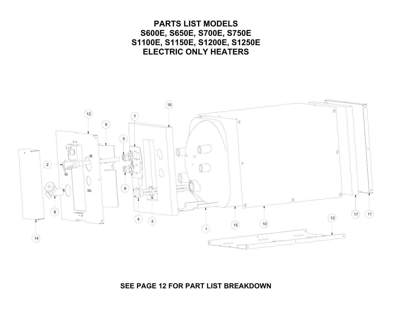**PARTS LIST MODELS S600E, S650E, S700E, S750E S1100E, S1150E, S1200E, S1250E ELECTRIC ONLY HEATERS**   $16$  $12$  $9$  $\sqrt{5}$  $\circledcirc$  $\sqrt{2}$  $\subset$  $\partial$  $\overline{2}$  $\mathbb{C}$  $6\phantom{a}$  $\sqrt{ }$  $\,$  8  $\,$  $\left(17\right)$  $(11)$  $\overline{\bullet}$  $13$ 3  $10$ 15 14

**SEE PAGE 12 FOR PART LIST BREAKDOWN**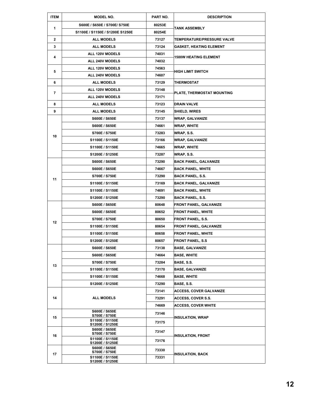| <b>ITEM</b>    | <b>MODEL NO.</b>                        | PART NO. | <b>DESCRIPTION</b>                |  |
|----------------|-----------------------------------------|----------|-----------------------------------|--|
| 1              | S600E / S650E / S700E/ S750E            | 80253E   | TANK ASSEMBLY                     |  |
|                | S1100E / S1150E / S1200E S1250E         | 80254E   |                                   |  |
| $\overline{2}$ | <b>ALL MODELS</b>                       | 73127    | <b>TEMPERATURE/PRESSURE VALVE</b> |  |
| 3              | <b>ALL MODELS</b>                       | 73124    | <b>GASKET, HEATING ELEMENT</b>    |  |
| 4              | ALL 120V MODELS                         | 74031    | <b>1500W HEATING ELEMENT</b>      |  |
|                | ALL 240V MODELS                         | 74032    |                                   |  |
| 5              | ALL 120V MODELS                         | 74563    | <b>HIGH LIMIT SWITCH</b>          |  |
|                | ALL 240V MODELS                         | 74607    |                                   |  |
| 6              | <b>ALL MODELS</b>                       | 73129    | THERMOSTAT                        |  |
| 7              | ALL 120V MODELS                         | 73148    |                                   |  |
|                | ALL 240V MODELS                         | 73171    | PLATE, THERMOSTAT MOUNTING        |  |
| 8              | <b>ALL MODELS</b>                       | 73123    | <b>DRAIN VALVE</b>                |  |
| 9              | <b>ALL MODELS</b>                       | 73145    | <b>SHIELD, WIRES</b>              |  |
|                | S600E / S650E                           | 73137    | <b>WRAP, GALVANIZE</b>            |  |
|                | S600E / S650E                           | 74661    | <b>WRAP, WHITE</b>                |  |
| 10             | S700E / S750E                           | 73283    | WRAP, S.S.                        |  |
|                | S1100E / S1150E                         | 73166    | <b>WRAP, GALVANIZE</b>            |  |
|                | S1100E / S1150E                         | 74665    | <b>WRAP, WHITE</b>                |  |
|                | S1200E / S1250E                         | 73287    | WRAP, S.S.                        |  |
|                | S600E / S650E                           | 73290    | <b>BACK PANEL, GALVANIZE</b>      |  |
|                | <b>S600E / S650E</b>                    | 74667    | <b>BACK PANEL, WHITE</b>          |  |
|                | S700E / S750E                           | 73290    | <b>BACK PANEL, S.S.</b>           |  |
| 11             | S1100E / S1150E                         | 73169    | <b>BACK PANEL, GALVANIZE</b>      |  |
|                | S1100E / S1150E                         | 74691    | <b>BACK PANEL, WHITE</b>          |  |
|                | S1200E / S1250E                         | 73290    | <b>BACK PANEL, S.S.</b>           |  |
|                | <b>S600E / S650E</b>                    | 80648    | <b>FRONT PANEL, GALVANIZE</b>     |  |
|                | <b>S600E / S650E</b>                    | 80652    | <b>FRONT PANEL, WHITE</b>         |  |
|                | S700E / S750E                           | 80650    | <b>FRONT PANEL, S.S.</b>          |  |
| 12             | S1100E / S1150E                         | 80654    | <b>FRONT PANEL, GALVANIZE</b>     |  |
|                | S1100E / S1150E                         | 80658    | <b>FRONT PANEL, WHITE</b>         |  |
|                | S1200E / S1250E                         | 80657    | <b>FRONT PANEL, S.S</b>           |  |
|                | S600E / S650E                           | 73138    | <b>BASE, GALVANIZE</b>            |  |
|                | S600E / S650E                           | 74664    | <b>BASE, WHITE</b>                |  |
|                | S700E / S750E                           | 73284    | BASE, S.S.                        |  |
| 13             | S1100E / S1150E                         | 73170    | <b>BASE, GALVANIZE</b>            |  |
|                | S1100E / S1150E                         | 74668    | <b>BASE, WHITE</b>                |  |
|                | S1200E / S1250E                         | 73290    | BASE, S.S.                        |  |
|                |                                         | 73141    | <b>ACCESS, COVER GALVANIZE</b>    |  |
| 14             | <b>ALL MODELS</b>                       | 73291    | <b>ACCESS, COVER S.S.</b>         |  |
|                |                                         | 74669    | <b>ACCESS, COVER WHITE</b>        |  |
|                | S600E / S650E                           | 73146    |                                   |  |
| 15             | S700E / S750E<br>S1100E / S1150E        |          | INSULATION, WRAP                  |  |
|                | S1200E / S1250E                         | 73175    |                                   |  |
|                | S600E / S650E<br>S700E / S750E          | 73147    |                                   |  |
| 16             | S1100E / S1150E                         | 73176    | INSULATION, FRONT                 |  |
|                | S1200E / S1250E<br><b>S600E / S650E</b> |          |                                   |  |
| 17             | S700E / S750E                           | 73330    | INSULATION, BACK                  |  |
|                | S1100E / S1150E<br>S1200E / S1250E      | 73331    |                                   |  |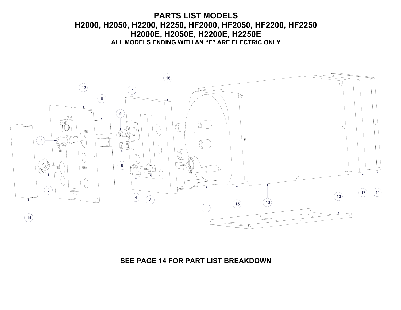#### **EL MODELS ENDING WITH AN E ANE ELECTR PARTS LIST MODELS H2000, H2050, H2200, H2250, HF2000, HF2050, HF2200, HF2250 H2000E, H2050E, H2200E, H2250E ALL MODELS ENDING WITH AN "E" ARE ELECTRIC ONLY**



#### **SEE PAGE 14 FOR PART LIST BREAKDOWN**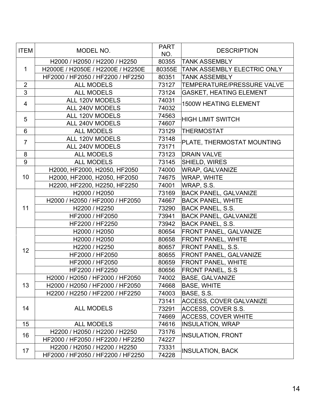| <b>ITEM</b>    | MODEL NO.                         | <b>PART</b><br>NO. | <b>DESCRIPTION</b>                 |  |
|----------------|-----------------------------------|--------------------|------------------------------------|--|
|                | H2000 / H2050 / H2200 / H2250     | 80355              | <b>TANK ASSEMBLY</b>               |  |
| $\mathbf 1$    | H2000E / H2050E / H2200E / H2250E |                    | 80355E TANK ASSEMBLY ELECTRIC ONLY |  |
|                | HF2000 / HF2050 / HF2200 / HF2250 | 80351              | <b>TANK ASSEMBLY</b>               |  |
| $\overline{2}$ | <b>ALL MODELS</b>                 | 73127              | <b>TEMPERATURE/PRESSURE VALVE</b>  |  |
| $\overline{3}$ | ALL MODELS                        | 73124              | <b>GASKET, HEATING ELEMENT</b>     |  |
|                | <b>ALL 120V MODELS</b>            | 74031              |                                    |  |
| $\overline{4}$ | ALL 240V MODELS                   | 74032              | <b>1500W HEATING ELEMENT</b>       |  |
| 5              | ALL 120V MODELS                   | 74563              | <b>HIGH LIMIT SWITCH</b>           |  |
|                | ALL 240V MODELS                   | 74607              |                                    |  |
| $6\phantom{1}$ | <b>ALL MODELS</b>                 | 73129              | <b>THERMOSTAT</b>                  |  |
| $\overline{7}$ | ALL 120V MODELS                   | 73148              |                                    |  |
|                | ALL 240V MODELS                   | 73171              | PLATE, THERMOSTAT MOUNTING         |  |
| 8              | <b>ALL MODELS</b>                 | 73123              | <b>DRAIN VALVE</b>                 |  |
| 9              | <b>ALL MODELS</b>                 | 73145              | SHIELD, WIRES                      |  |
|                | H2000, HF2000, H2050, HF2050      | 74000              | <b>WRAP, GALVANIZE</b>             |  |
| 10             | H2000, HF2000, H2050, HF2050      | 74675              | <b>WRAP, WHITE</b>                 |  |
|                | H2200, HF2200, H2250, HF2250      | 74001              | WRAP, S.S.                         |  |
|                | H2000 / H2050                     | 73169              | <b>BACK PANEL, GALVANIZE</b>       |  |
|                | H2000 / H2050 / HF2000 / HF2050   | 74667              | <b>BACK PANEL, WHITE</b>           |  |
| 11             | H2200 / H2250                     | 73290              | BACK PANEL, S.S.                   |  |
|                | HF2000 / HF2050                   | 73941              | <b>BACK PANEL, GALVANIZE</b>       |  |
|                | HF2200 / HF2250                   | 73942              | <b>BACK PANEL, S.S.</b>            |  |
|                | H2000 / H2050                     | 80654              | <b>FRONT PANEL, GALVANIZE</b>      |  |
|                | H2000 / H2050                     | 80658              | <b>FRONT PANEL, WHITE</b>          |  |
| 12             | H2200 / H2250                     | 80657              | <b>FRONT PANEL, S.S.</b>           |  |
|                | HF2000 / HF2050                   | 80655              | <b>FRONT PANEL, GALVANIZE</b>      |  |
|                | HF2000 / HF2050                   | 80659              | <b>FRONT PANEL, WHITE</b>          |  |
|                | HF2200 / HF2250                   | 80656              | <b>FRONT PANEL, S.S</b>            |  |
|                | H2000 / H2050 / HF2000 / HF2050   | 74002              | <b>BASE, GALVANIZE</b>             |  |
| 13             | H2000 / H2050 / HF2000 / HF2050   | 74668              | <b>BASE, WHITE</b>                 |  |
|                | H2200 / H2250 / HF2200 / HF2250   | 74003              | BASE, S.S.                         |  |
| 14             |                                   | 73141              | <b>ACCESS, COVER GALVANIZE</b>     |  |
|                | <b>ALL MODELS</b>                 | 73291              | ACCESS, COVER S.S.                 |  |
|                |                                   | 74669              | <b>ACCESS, COVER WHITE</b>         |  |
| 15             | <b>ALL MODELS</b>                 | 74616              | <b>INSULATION, WRAP</b>            |  |
| 16             | H2200 / H2050 / H2200 / H2250     | 73176              | <b>INSULATION, FRONT</b>           |  |
|                | HF2000 / HF2050 / HF2200 / HF2250 | 74227              |                                    |  |
|                | H2200 / H2050 / H2200 / H2250     | 73331              |                                    |  |
| 17             | HF2000 / HF2050 / HF2200 / HF2250 | 74228              | <b>INSULATION, BACK</b>            |  |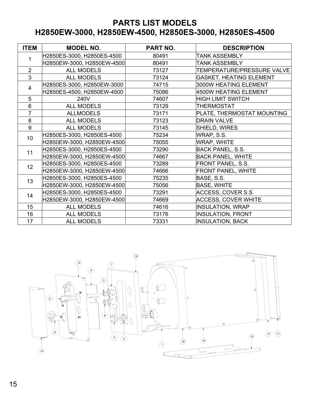#### **PARTS LIST MODELS H2850EW-3000, H2850EW-4500, H2850ES-3000, H2850ES-4500**

| <b>ITEM</b>     | <b>MODEL NO.</b>           | <b>PART NO.</b> | <b>DESCRIPTION</b>             |
|-----------------|----------------------------|-----------------|--------------------------------|
| 1               | H2850ES-3000, H2850ES-4500 | 80491           | <b>TANK ASSEMBLY</b>           |
|                 | H2850EW-3000, H2850EW-4500 | 80491           | TANK ASSEMBLY                  |
| $\overline{2}$  | <b>ALL MODELS</b>          | 73127           | TEMPERATURE/PRESSURE VALVE     |
| 3               | <b>ALL MODELS</b>          | 73124           | <b>GASKET, HEATING ELEMENT</b> |
| $\overline{4}$  | H2850ES-3000, H2850EW-3000 | 74715           | 3000W HEATING ELEMENT          |
|                 | H2850ES-4500, H2850EW-4500 | 75086           | 4500W HEATING ELEMENT          |
| 5               | 240V                       | 74607           | <b>HIGH LIMIT SWITCH</b>       |
| 6               | <b>ALL MODELS</b>          | 73129           | <b>THERMOSTAT</b>              |
| $\overline{7}$  | <b>ALLMODELS</b>           | 73171           | PLATE, THERMOSTAT MOUNTING     |
| 8               | <b>ALL MODELS</b>          | 73123           | <b>DRAIN VALVE</b>             |
| 9               | <b>ALL MODELS</b>          | 73145           | SHIELD, WIRES                  |
| 10 <sup>°</sup> | H2850ES-3000, H2850ES-4500 | 75234           | WRAP, S.S.                     |
|                 | H2850EW-3000, H2850EW-4500 | 75055           | WRAP, WHITE                    |
| 11              | H2850ES-3000, H2850ES-4500 | 73290           | <b>BACK PANEL, S.S.</b>        |
|                 | H2850EW-3000, H2850EW-4500 | 74667           | <b>BACK PANEL, WHITE</b>       |
| 12              | H2850ES-3000, H2850ES-4500 | 73289           | <b>FRONT PANEL, S.S.</b>       |
|                 | H2850EW-3000, H2850EW-4500 | 74666           | <b>FRONT PANEL, WHITE</b>      |
| 13              | H2850ES-3000, H2850ES-4500 | 75235           | BASE, S.S.                     |
|                 | H2850EW-3000, H2850EW-4500 | 75056           | <b>BASE, WHITE</b>             |
| 14              | H2850ES-3000, H2850ES-4500 | 73291           | ACCESS, COVER S.S.             |
|                 | H2850EW-3000, H2850EW-4500 | 74669           | <b>ACCESS, COVER WHITE</b>     |
| 15              | <b>ALL MODELS</b>          | 74616           | <b>INSULATION, WRAP</b>        |
| 16              | <b>ALL MODELS</b>          | 73176           | <b>INSULATION, FRONT</b>       |
| 17              | <b>ALL MODELS</b>          | 73331           | <b>INSULATION, BACK</b>        |

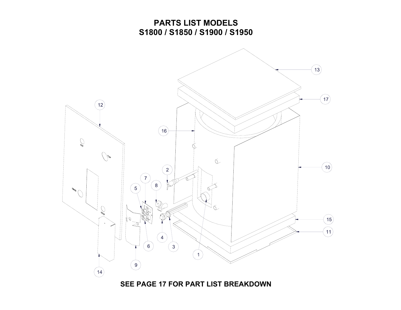#### **PARTS LIST MODELS S1800 / S1850 / S1900 / S1950**



**SEE PAGE 17 FOR PART LIST BREAKDOWN**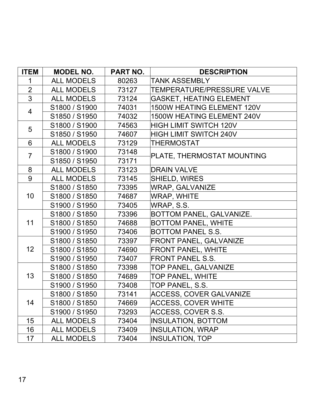| <b>ITEM</b>    | <b>MODEL NO.</b>  | PART NO. | <b>DESCRIPTION</b>                |
|----------------|-------------------|----------|-----------------------------------|
| 1              | <b>ALL MODELS</b> | 80263    | <b>TANK ASSEMBLY</b>              |
| $\overline{2}$ | <b>ALL MODELS</b> | 73127    | <b>TEMPERATURE/PRESSURE VALVE</b> |
| $\overline{3}$ | <b>ALL MODELS</b> | 73124    | <b>GASKET, HEATING ELEMENT</b>    |
| $\overline{4}$ | S1800 / S1900     | 74031    | 1500W HEATING ELEMENT 120V        |
|                | S1850 / S1950     | 74032    | 1500W HEATING ELEMENT 240V        |
| 5              | S1800 / S1900     | 74563    | <b>HIGH LIMIT SWITCH 120V</b>     |
|                | S1850 / S1950     | 74607    | <b>HIGH LIMIT SWITCH 240V</b>     |
| 6              | <b>ALL MODELS</b> | 73129    | <b>THERMOSTAT</b>                 |
| $\overline{7}$ | S1800 / S1900     | 73148    | PLATE, THERMOSTAT MOUNTING        |
|                | S1850 / S1950     | 73171    |                                   |
| 8              | <b>ALL MODELS</b> | 73123    | <b>DRAIN VALVE</b>                |
| 9              | <b>ALL MODELS</b> | 73145    | SHIELD, WIRES                     |
| 10             | S1800 / S1850     | 73395    | <b>WRAP, GALVANIZE</b>            |
|                | S1800 / S1850     | 74687    | WRAP, WHITE                       |
|                | S1900 / S1950     | 73405    | WRAP, S.S.                        |
|                | S1800 / S1850     | 73396    | BOTTOM PANEL, GALVANIZE.          |
| 11             | S1800 / S1850     | 74688    | <b>BOTTOM PANEL, WHITE</b>        |
|                | S1900 / S1950     | 73406    | <b>BOTTOM PANEL S.S.</b>          |
|                | S1800 / S1850     | 73397    | <b>FRONT PANEL, GALVANIZE</b>     |
| 12             | S1800 / S1850     | 74690    | <b>FRONT PANEL, WHITE</b>         |
|                | S1900 / S1950     | 73407    | <b>FRONT PANEL S.S.</b>           |
|                | S1800 / S1850     | 73398    | TOP PANEL, GALVANIZE              |
| 13             | S1800 / S1850     | 74689    | <b>TOP PANEL, WHITE</b>           |
|                | S1900 / S1950     | 73408    | TOP PANEL, S.S.                   |
|                | S1800 / S1850     | 73141    | <b>ACCESS, COVER GALVANIZE</b>    |
| 14             | S1800 / S1850     | 74669    | ACCESS, COVER WHITE               |
|                | S1900 / S1950     | 73293    | ACCESS, COVER S.S.                |
| 15             | <b>ALL MODELS</b> | 73404    | <b>INSULATION, BOTTOM</b>         |
| 16             | <b>ALL MODELS</b> | 73409    | <b>INSULATION, WRAP</b>           |
| 17             | <b>ALL MODELS</b> | 73404    | <b>INSULATION, TOP</b>            |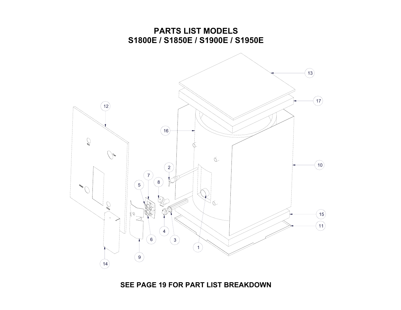

**SEE PAGE 19 FOR PART LIST BREAKDOWN**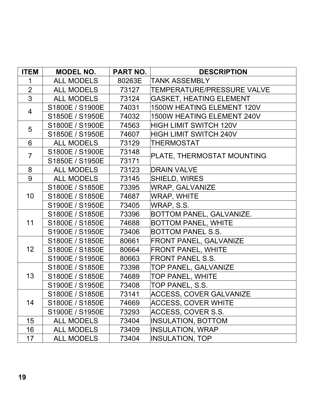| <b>ITEM</b>     | <b>MODEL NO.</b>  | <b>PART NO.</b> | <b>DESCRIPTION</b>                |
|-----------------|-------------------|-----------------|-----------------------------------|
| 1               | <b>ALL MODELS</b> | 80263E          | <b>TANK ASSEMBLY</b>              |
| $\overline{2}$  | ALL MODELS        | 73127           | <b>TEMPERATURE/PRESSURE VALVE</b> |
| $\overline{3}$  | <b>ALL MODELS</b> | 73124           | <b>GASKET, HEATING ELEMENT</b>    |
| $\overline{4}$  | S1800E / S1900E   | 74031           | 1500W HEATING ELEMENT 120V        |
|                 | S1850E / S1950E   | 74032           | 1500W HEATING ELEMENT 240V        |
| 5               | S1800E / S1900E   | 74563           | <b>HIGH LIMIT SWITCH 120V</b>     |
|                 | S1850E / S1950E   | 74607           | HIGH LIMIT SWITCH 240V            |
| 6               | <b>ALL MODELS</b> | 73129           | <b>THERMOSTAT</b>                 |
| $\overline{7}$  | S1800E / S1900E   | 73148           | PLATE, THERMOSTAT MOUNTING        |
|                 | S1850E / S1950E   | 73171           |                                   |
| 8               | ALL MODELS        | 73123           | <b>DRAIN VALVE</b>                |
| 9               | ALL MODELS        | 73145           | <b>SHIELD, WIRES</b>              |
| 10              | S1800E / S1850E   | 73395           | <b>WRAP, GALVANIZE</b>            |
|                 | S1800E / S1850E   | 74687           | <b>WRAP, WHITE</b>                |
|                 | S1900E / S1950E   | 73405           | WRAP, S.S.                        |
|                 | S1800E / S1850E   | 73396           | BOTTOM PANEL, GALVANIZE.          |
| 11              | S1800E / S1850E   | 74688           | <b>BOTTOM PANEL, WHITE</b>        |
|                 | S1900E / S1950E   | 73406           | <b>BOTTOM PANEL S.S.</b>          |
|                 | S1800E / S1850E   | 80661           | <b>FRONT PANEL, GALVANIZE</b>     |
| 12 <sub>2</sub> | S1800E / S1850E   | 80664           | <b>FRONT PANEL, WHITE</b>         |
|                 | S1900E / S1950E   | 80663           | <b>FRONT PANEL S.S.</b>           |
|                 | S1800E / S1850E   | 73398           | TOP PANEL, GALVANIZE              |
| 13              | S1800E / S1850E   | 74689           | TOP PANEL, WHITE                  |
|                 | S1900E / S1950E   | 73408           | TOP PANEL, S.S.                   |
|                 | S1800E / S1850E   | 73141           | <b>ACCESS, COVER GALVANIZE</b>    |
| 14              | S1800E / S1850E   | 74669           | <b>ACCESS, COVER WHITE</b>        |
|                 | S1900E / S1950E   | 73293           | ACCESS, COVER S.S.                |
| 15              | <b>ALL MODELS</b> | 73404           | <b>INSULATION, BOTTOM</b>         |
| 16              | <b>ALL MODELS</b> | 73409           | <b>INSULATION, WRAP</b>           |
| 17              | <b>ALL MODELS</b> | 73404           | <b>INSULATION, TOP</b>            |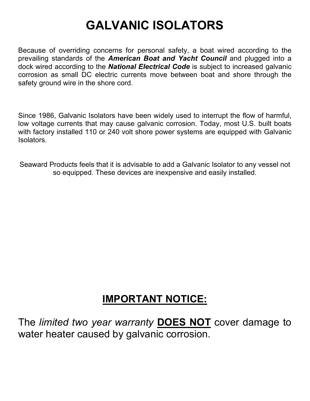## **GALVANIC ISOLATORS**

Because of overriding concerns for personal safety, a boat wired according to the prevailing standards of the *American Boat and Yacht Council* and plugged into a dock wired according to the *National Electrical Code* is subject to increased galvanic corrosion as small DC electric currents move between boat and shore through the safety ground wire in the shore cord.

Since 1986, Galvanic Isolators have been widely used to interrupt the flow of harmful, low voltage currents that may cause galvanic corrosion. Today, most U.S. built boats with factory installed 110 or 240 volt shore power systems are equipped with Galvanic Isolators.

Seaward Products feels that it is advisable to add a Galvanic Isolator to any vessel not so equipped. These devices are inexpensive and easily installed.

## **IMPORTANT NOTICE:**

The *limited two year warranty* **DOES NOT** cover damage to water heater caused by galvanic corrosion.